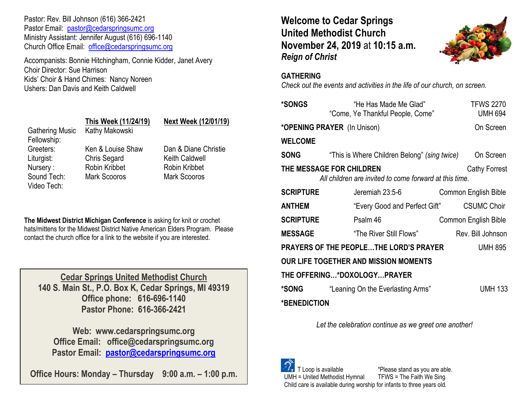Pastor: Rev. Bill Johnson (616) 366-2421 Pastor Email: [pastor@cedarspringsumc.org](mailto:pastor@cedarspringsumc.org) Ministry Assistant: Jennifer August (616) 696-1140 Church Office Email: [office@cedarspringsumc.org](mailto:office@cedarspringsumc.org)

Accompanists: Bonnie Hitchingham, Connie Kidder, Janet Avery Choir Director: Sue Harrison Kids' Choir & Hand Chimes: Nancy Noreen Ushers: Dan Davis and Keith Caldwell

| This Week (11/24/19) | <b>Next Week (12/01/19)</b> |
|----------------------|-----------------------------|
| Kathy Makowski       |                             |
| Ken & Louise Shaw    | Dan & Diane Christie        |
| <b>Chris Segard</b>  | Keith Caldwell              |
| Robin Kribbet        | <b>Robin Kribbet</b>        |
| Mark Scooros         | <b>Mark Scooros</b>         |
|                      |                             |

**The Midwest District Michigan Conference** is asking for knit or crochet hats/mittens for the Midwest District Native American Elders Program. Please contact the church office for a link to the website if you are interested.

**Cedar Springs United Methodist Church 140 S. Main St., P.O. Box K, Cedar Springs, MI 49319 Office phone: 616-696-1140 Pastor Phone: 616-366-2421**

**Web: www.cedarspringsumc.org Office Email: office@cedarspringsumc.org Pastor Email: [pastor@cedarspringsumc.org](mailto:pastor@cedarspringsumc.org)**

**Office Hours: Monday – Thursday 9:00 a.m. – 1:00 p.m.**

**Welcome to Cedar Springs United Methodist Church November 24, 2019** at **10:15 a.m.**  *Reign of Christ*



## **GATHERING**

*Check out the events and activities in the life of our church, on screen.*

| *SONGS                                                                                                     | "He Has Made Me Glad"<br>"Come, Ye Thankful People, Come" | <b>TFWS 2270</b><br><b>UMH 694</b> |
|------------------------------------------------------------------------------------------------------------|-----------------------------------------------------------|------------------------------------|
|                                                                                                            | *OPENING PRAYER (In Unison)                               | On Screen                          |
| <b>WELCOME</b>                                                                                             |                                                           |                                    |
| SONG                                                                                                       | "This is Where Children Belong" (sing twice) On Screen    |                                    |
| THE MESSAGE FOR CHILDREN<br><b>Cathy Forrest</b><br>All children are invited to come forward at this time. |                                                           |                                    |
| <b>SCRIPTURE</b>                                                                                           | Jeremiah 23:5-6                                           | Common English Bible               |
| <b>ANTHEM</b>                                                                                              | "Every Good and Perfect Gift"                             | <b>CSUMC Choir</b>                 |
| <b>SCRIPTURE</b>                                                                                           | Psalm 46                                                  | Common English Bible               |
| <b>MESSAGE</b>                                                                                             | "The River Still Flows"                                   | Rev. Bill Johnson                  |
|                                                                                                            | PRAYERS OF THE PEOPLETHE LORD'S PRAYER                    | <b>UMH 895</b>                     |
| OUR LIFE TOGETHER AND MISSION MOMENTS                                                                      |                                                           |                                    |
| THE OFFERING*DOXOLOGYPRAYER                                                                                |                                                           |                                    |
| *SONG *                                                                                                    | "Leaning On the Everlasting Arms"                         | <b>UMH 133</b>                     |
| <b>*BENEDICTION</b>                                                                                        |                                                           |                                    |

*Let the celebration continue as we greet one another!*



T Loop is available \*Please stand as you are able. UMH = United Methodist Hymnal TFWS = The Faith We Sing Child care is available during worship for infants to three years old.